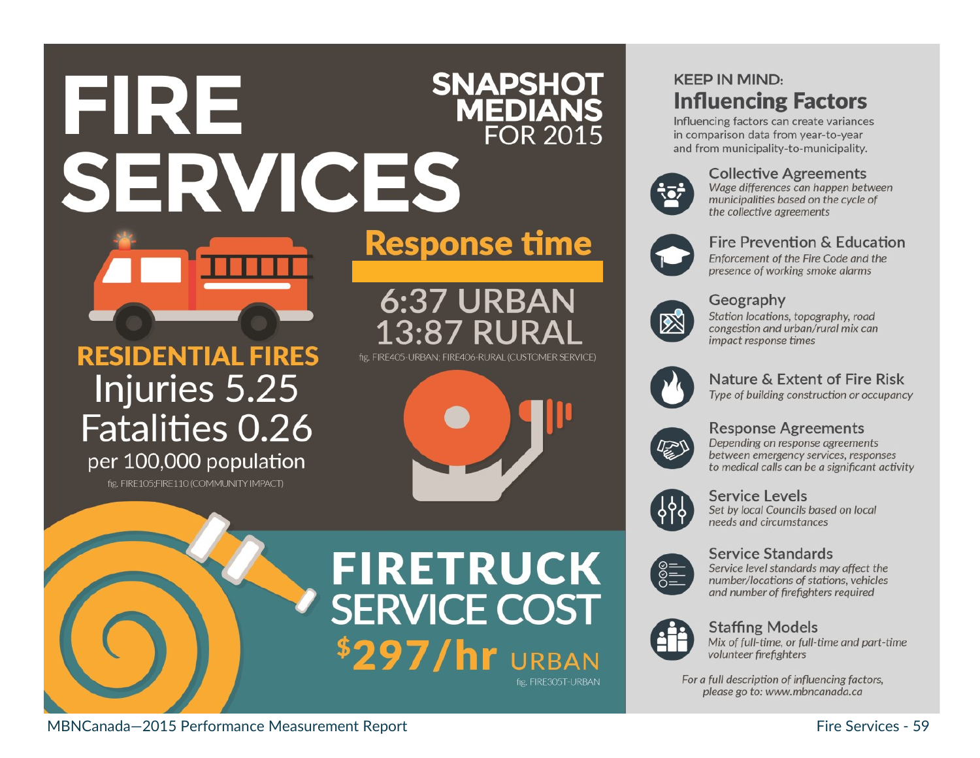## **SNAPSHOT** EIRE **MEDIANS FOR 2015** SERVICES



### **RESIDENTIAL FIRES** Injuries 5.25 Fatalities 0.26 per 100,000 population

fig. FIRE105:FIRE110 (COMMUNITY IMPACT)

# **Response time**

6:37 URBAN 13:87 RUR fig. FIRE405-URBAN: FIRE406-RURAL (CUSTOMER SERVICE)





## **FIRETRUCK SERVICE COST** \$297/hr URBAN fig. FIRE305T-URBAN

### **KEEP IN MIND: Influencing Factors**

Influencing factors can create variances in comparison data from year-to-year and from municipality-to-municipality.



#### **Collective Agreements**

Wage differences can happen between municipalities based on the cycle of the collective agreements



#### Fire Prevention & Education

Enforcement of the Fire Code and the presence of working smoke alarms



#### Geography

Station locations, topography, road congestion and urban/rural mix can impact response times



### Nature & Extent of Fire Risk

Type of building construction or occupancy



#### **Response Agreements**

Depending on response agreements between emergency services, responses to medical calls can be a significant activity



#### Service Levels

Set by local Councils based on local needs and circumstances



#### **Service Standards** Service level standards may affect the number/locations of stations, vehicles and number of firefighters required



#### **Staffing Models**

Mix of full-time, or full-time and part-time volunteer firefighters

For a full description of influencing factors, please go to: www.mbncanada.ca

MBNCanada-2015 Performance Measurement Report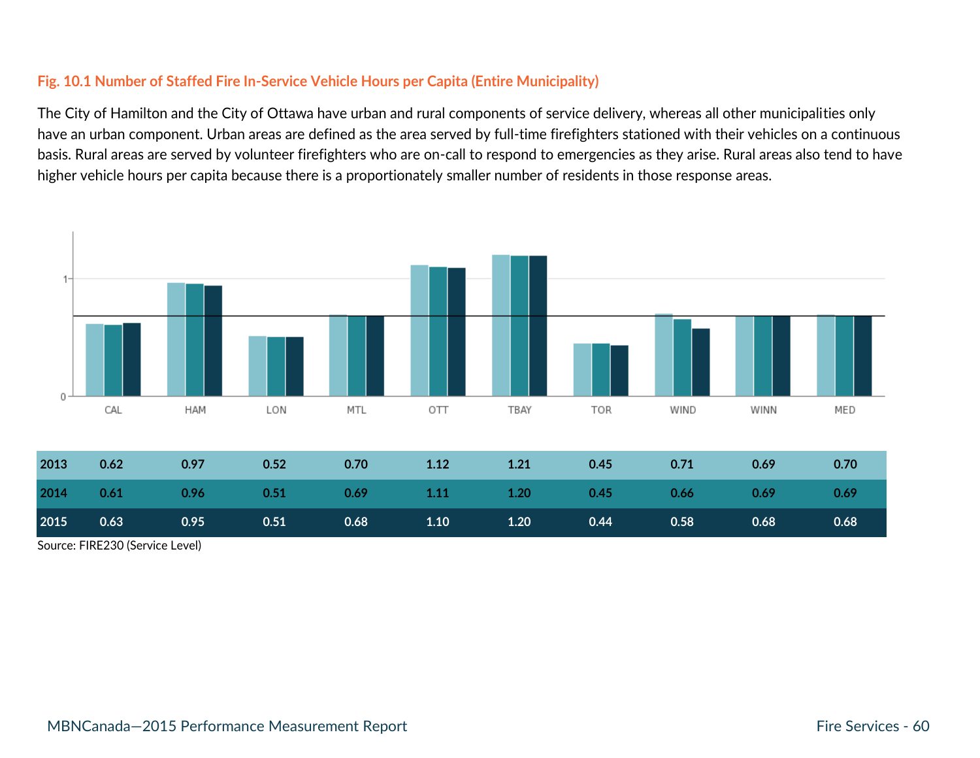#### **Fig. 10.1 Number of Staffed Fire In-Service Vehicle Hours per Capita (Entire Municipality)**

The City of Hamilton and the City of Ottawa have urban and rural components of service delivery, whereas all other municipalities only have an urban component. Urban areas are defined as the area served by full-time firefighters stationed with their vehicles on a continuous basis. Rural areas are served by volunteer firefighters who are on-call to respond to emergencies as they arise. Rural areas also tend to have higher vehicle hours per capita because there is a proportionately smaller number of residents in those response areas.



Source: FIRE230 (Service Level)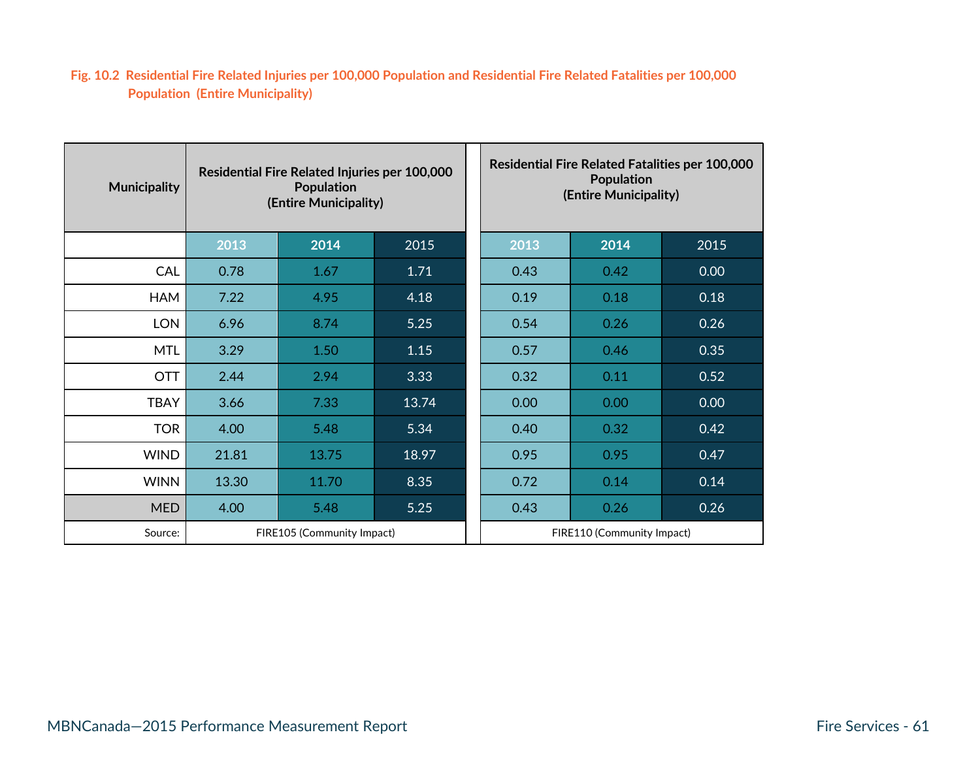#### **Fig. 10.2 Residential Fire Related Injuries per 100,000 Population and Residential Fire Related Fatalities per 100,000 Population (Entire Municipality)**

| <b>Municipality</b> | Residential Fire Related Injuries per 100,000<br><b>Population</b><br>(Entire Municipality) |       |       |  | <b>Residential Fire Related Fatalities per 100,000</b><br><b>Population</b><br>(Entire Municipality) |      |      |  |
|---------------------|---------------------------------------------------------------------------------------------|-------|-------|--|------------------------------------------------------------------------------------------------------|------|------|--|
|                     | 2013                                                                                        | 2014  | 2015  |  | 2013                                                                                                 | 2014 | 2015 |  |
| <b>CAL</b>          | 0.78                                                                                        | 1.67  | 1.71  |  | 0.43                                                                                                 | 0.42 | 0.00 |  |
| <b>HAM</b>          | 7.22                                                                                        | 4.95  | 4.18  |  | 0.19                                                                                                 | 0.18 | 0.18 |  |
| <b>LON</b>          | 6.96                                                                                        | 8.74  | 5.25  |  | 0.54                                                                                                 | 0.26 | 0.26 |  |
| <b>MTL</b>          | 3.29                                                                                        | 1.50  | 1.15  |  | 0.57                                                                                                 | 0.46 | 0.35 |  |
| <b>OTT</b>          | 2.44                                                                                        | 2.94  | 3.33  |  | 0.32                                                                                                 | 0.11 | 0.52 |  |
| <b>TBAY</b>         | 3.66                                                                                        | 7.33  | 13.74 |  | 0.00                                                                                                 | 0.00 | 0.00 |  |
| <b>TOR</b>          | 4.00                                                                                        | 5.48  | 5.34  |  | 0.40                                                                                                 | 0.32 | 0.42 |  |
| <b>WIND</b>         | 21.81                                                                                       | 13.75 | 18.97 |  | 0.95                                                                                                 | 0.95 | 0.47 |  |
| <b>WINN</b>         | 13.30                                                                                       | 11.70 | 8.35  |  | 0.72                                                                                                 | 0.14 | 0.14 |  |
| <b>MED</b>          | 4.00                                                                                        | 5.48  | 5.25  |  | 0.43                                                                                                 | 0.26 | 0.26 |  |
| Source:             | FIRE105 (Community Impact)                                                                  |       |       |  | FIRE110 (Community Impact)                                                                           |      |      |  |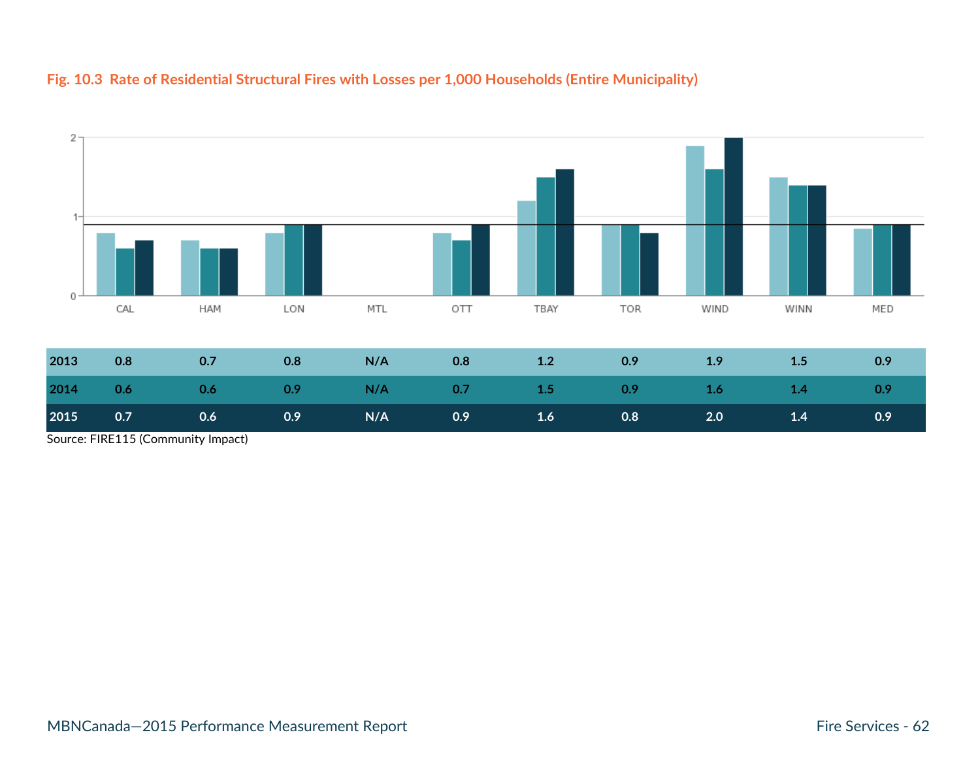#### **Fig. 10.3 Rate of Residential Structural Fires with Losses per 1,000 Households (Entire Municipality)**



Source: FIRE115 (Community Impact)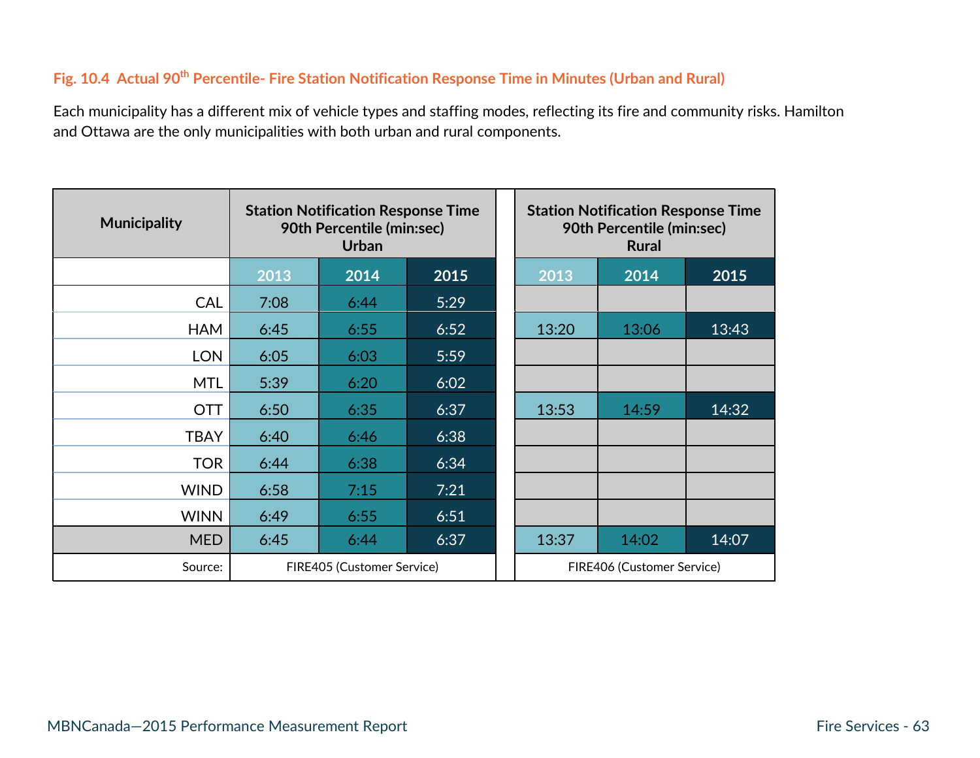### **Fig. 10.4 Actual 90th Percentile- Fire Station Notification Response Time in Minutes (Urban and Rural)**

Each municipality has a different mix of vehicle types and staffing modes, reflecting its fire and community risks. Hamilton and Ottawa are the only municipalities with both urban and rural components.

| <b>Municipality</b> | <b>Station Notification Response Time</b><br>90th Percentile (min:sec)<br><b>Urban</b> |      |      |  | <b>Station Notification Response Time</b><br>90th Percentile (min:sec)<br><b>Rural</b> |       |       |  |
|---------------------|----------------------------------------------------------------------------------------|------|------|--|----------------------------------------------------------------------------------------|-------|-------|--|
|                     | 2013                                                                                   | 2014 | 2015 |  | 2013                                                                                   | 2014  | 2015  |  |
| <b>CAL</b>          | 7:08                                                                                   | 6:44 | 5:29 |  |                                                                                        |       |       |  |
| <b>HAM</b>          | 6:45                                                                                   | 6:55 | 6:52 |  | 13:20                                                                                  | 13:06 | 13:43 |  |
| <b>LON</b>          | 6:05                                                                                   | 6:03 | 5:59 |  |                                                                                        |       |       |  |
| <b>MTL</b>          | 5:39                                                                                   | 6:20 | 6:02 |  |                                                                                        |       |       |  |
| <b>OTT</b>          | 6:50                                                                                   | 6:35 | 6:37 |  | 13:53                                                                                  | 14:59 | 14:32 |  |
| <b>TBAY</b>         | 6:40                                                                                   | 6:46 | 6:38 |  |                                                                                        |       |       |  |
| <b>TOR</b>          | 6:44                                                                                   | 6:38 | 6:34 |  |                                                                                        |       |       |  |
| <b>WIND</b>         | 6:58                                                                                   | 7:15 | 7:21 |  |                                                                                        |       |       |  |
| <b>WINN</b>         | 6:49                                                                                   | 6:55 | 6:51 |  |                                                                                        |       |       |  |
| <b>MED</b>          | 6:45                                                                                   | 6:44 | 6:37 |  | 13:37                                                                                  | 14:02 | 14:07 |  |
| Source:             | FIRE405 (Customer Service)                                                             |      |      |  | FIRE406 (Customer Service)                                                             |       |       |  |